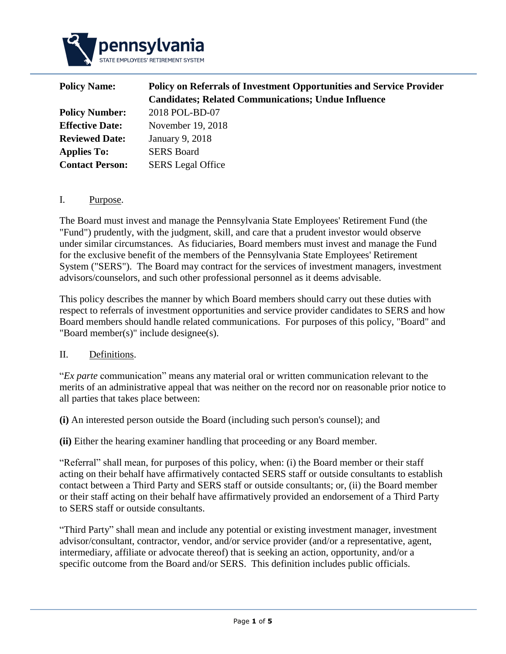

| <b>Policy on Referrals of Investment Opportunities and Service Provider</b> |  |  |
|-----------------------------------------------------------------------------|--|--|
| <b>Candidates; Related Communications; Undue Influence</b>                  |  |  |
| 2018 POL-BD-07                                                              |  |  |
| November 19, 2018                                                           |  |  |
| January 9, 2018                                                             |  |  |
| <b>SERS Board</b>                                                           |  |  |
| <b>SERS</b> Legal Office                                                    |  |  |
|                                                                             |  |  |

### I. Purpose.

The Board must invest and manage the Pennsylvania State Employees' Retirement Fund (the "Fund") prudently, with the judgment, skill, and care that a prudent investor would observe under similar circumstances. As fiduciaries, Board members must invest and manage the Fund for the exclusive benefit of the members of the Pennsylvania State Employees' Retirement System ("SERS"). The Board may contract for the services of investment managers, investment advisors/counselors, and such other professional personnel as it deems advisable.

This policy describes the manner by which Board members should carry out these duties with respect to referrals of investment opportunities and service provider candidates to SERS and how Board members should handle related communications. For purposes of this policy, "Board" and "Board member(s)" include designee(s).

#### II. Definitions.

"*Ex parte* communication" means any material oral or written communication relevant to the merits of an [administrative](https://www.law.cornell.edu/definitions/index.php?width=840&height=800&iframe=true&def_id=0183688d68af9fe23c8d11203c080b4f&term_occur=1&term_src=Title:12:Chapter:II:Subchapter:A:Part:263:Subpart:A:263.9) appeal that was neither on the [record](https://www.law.cornell.edu/definitions/index.php?width=840&height=800&iframe=true&def_id=a97241443154011f380a99252bd1085b&term_occur=1&term_src=Title:12:Chapter:II:Subchapter:A:Part:263:Subpart:A:263.9) nor on reasonable prior notice to all parties that takes place between:

**(i)** An interested [person](https://www.law.cornell.edu/definitions/index.php?width=840&height=800&iframe=true&def_id=36f2f6cc46b0cb840ae14d74ca97d4c9&term_occur=1&term_src=Title:12:Chapter:II:Subchapter:A:Part:263:Subpart:A:263.9) outside the [Board](https://www.law.cornell.edu/definitions/index.php?width=840&height=800&iframe=true&def_id=b83160188a0518042c46b272f0d17e55&term_occur=1&term_src=Title:12:Chapter:II:Subchapter:A:Part:263:Subpart:A:263.9) (including such [person's](https://www.law.cornell.edu/definitions/index.php?width=840&height=800&iframe=true&def_id=36f2f6cc46b0cb840ae14d74ca97d4c9&term_occur=2&term_src=Title:12:Chapter:II:Subchapter:A:Part:263:Subpart:A:263.9) counsel); and

**(ii)** Either the hearing examiner handling that proceeding or any Board member.

"Referral" shall mean, for purposes of this policy, when: (i) the Board member or their staff acting on their behalf have affirmatively contacted SERS staff or outside consultants to establish contact between a Third Party and SERS staff or outside consultants; or, (ii) the Board member or their staff acting on their behalf have affirmatively provided an endorsement of a Third Party to SERS staff or outside consultants.

"Third Party" shall mean and include any potential or existing investment manager, investment advisor/consultant, contractor, vendor, and/or service provider (and/or a representative, agent, intermediary, affiliate or advocate thereof) that is seeking an action, opportunity, and/or a specific outcome from the Board and/or SERS. This definition includes public officials.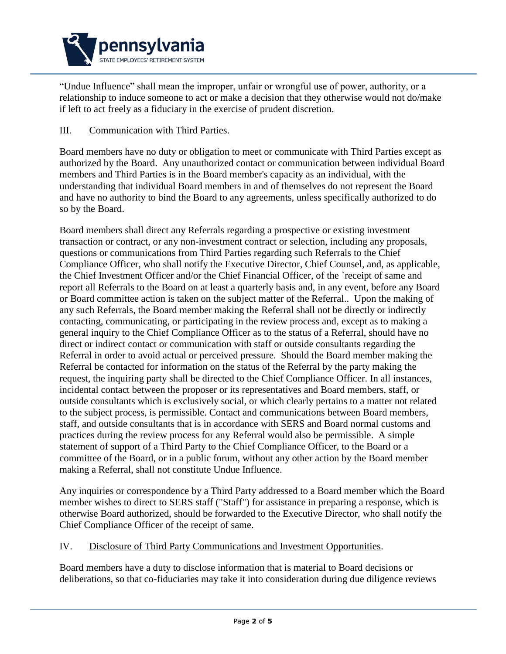

"Undue Influence" shall mean the improper, unfair or wrongful use of power, authority, or a relationship to induce someone to act or make a decision that they otherwise would not do/make if left to act freely as a fiduciary in the exercise of prudent discretion.

## III. Communication with Third Parties.

Board members have no duty or obligation to meet or communicate with Third Parties except as authorized by the Board. Any unauthorized contact or communication between individual Board members and Third Parties is in the Board member's capacity as an individual, with the understanding that individual Board members in and of themselves do not represent the Board and have no authority to bind the Board to any agreements, unless specifically authorized to do so by the Board.

Board members shall direct any Referrals regarding a prospective or existing investment transaction or contract, or any non-investment contract or selection, including any proposals, questions or communications from Third Parties regarding such Referrals to the Chief Compliance Officer, who shall notify the Executive Director, Chief Counsel, and, as applicable, the Chief Investment Officer and/or the Chief Financial Officer, of the `receipt of same and report all Referrals to the Board on at least a quarterly basis and, in any event, before any Board or Board committee action is taken on the subject matter of the Referral.. Upon the making of any such Referrals, the Board member making the Referral shall not be directly or indirectly contacting, communicating, or participating in the review process and, except as to making a general inquiry to the Chief Compliance Officer as to the status of a Referral, should have no direct or indirect contact or communication with staff or outside consultants regarding the Referral in order to avoid actual or perceived pressure. Should the Board member making the Referral be contacted for information on the status of the Referral by the party making the request, the inquiring party shall be directed to the Chief Compliance Officer. In all instances, incidental contact between the proposer or its representatives and Board members, staff, or outside consultants which is exclusively social, or which clearly pertains to a matter not related to the subject process, is permissible. Contact and communications between Board members, staff, and outside consultants that is in accordance with SERS and Board normal customs and practices during the review process for any Referral would also be permissible. A simple statement of support of a Third Party to the Chief Compliance Officer, to the Board or a committee of the Board, or in a public forum, without any other action by the Board member making a Referral, shall not constitute Undue Influence.

Any inquiries or correspondence by a Third Party addressed to a Board member which the Board member wishes to direct to SERS staff ("Staff") for assistance in preparing a response, which is otherwise Board authorized, should be forwarded to the Executive Director, who shall notify the Chief Compliance Officer of the receipt of same.

### IV. Disclosure of Third Party Communications and Investment Opportunities.

Board members have a duty to disclose information that is material to Board decisions or deliberations, so that co-fiduciaries may take it into consideration during due diligence reviews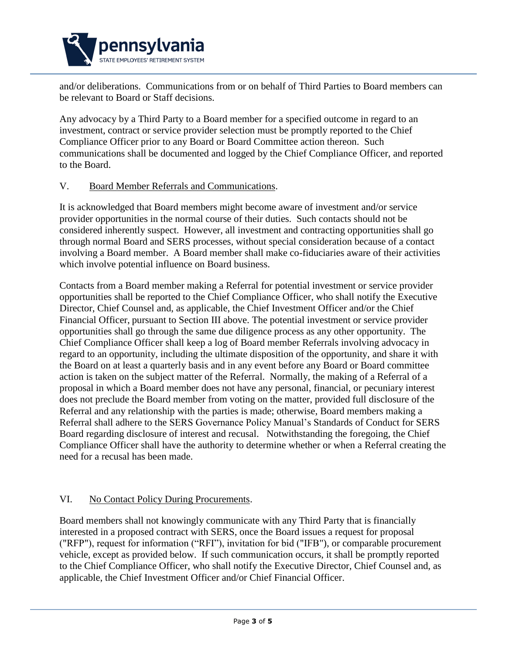

and/or deliberations. Communications from or on behalf of Third Parties to Board members can be relevant to Board or Staff decisions.

Any advocacy by a Third Party to a Board member for a specified outcome in regard to an investment, contract or service provider selection must be promptly reported to the Chief Compliance Officer prior to any Board or Board Committee action thereon. Such communications shall be documented and logged by the Chief Compliance Officer, and reported to the Board.

### V. Board Member Referrals and Communications.

It is acknowledged that Board members might become aware of investment and/or service provider opportunities in the normal course of their duties. Such contacts should not be considered inherently suspect. However, all investment and contracting opportunities shall go through normal Board and SERS processes, without special consideration because of a contact involving a Board member. A Board member shall make co-fiduciaries aware of their activities which involve potential influence on Board business.

Contacts from a Board member making a Referral for potential investment or service provider opportunities shall be reported to the Chief Compliance Officer, who shall notify the Executive Director, Chief Counsel and, as applicable, the Chief Investment Officer and/or the Chief Financial Officer, pursuant to Section III above. The potential investment or service provider opportunities shall go through the same due diligence process as any other opportunity. The Chief Compliance Officer shall keep a log of Board member Referrals involving advocacy in regard to an opportunity, including the ultimate disposition of the opportunity, and share it with the Board on at least a quarterly basis and in any event before any Board or Board committee action is taken on the subject matter of the Referral. Normally, the making of a Referral of a proposal in which a Board member does not have any personal, financial, or pecuniary interest does not preclude the Board member from voting on the matter, provided full disclosure of the Referral and any relationship with the parties is made; otherwise, Board members making a Referral shall adhere to the SERS Governance Policy Manual's Standards of Conduct for SERS Board regarding disclosure of interest and recusal. Notwithstanding the foregoing, the Chief Compliance Officer shall have the authority to determine whether or when a Referral creating the need for a recusal has been made.

### VI. No Contact Policy During Procurements.

Board members shall not knowingly communicate with any Third Party that is financially interested in a proposed contract with SERS, once the Board issues a request for proposal ("RFP"), request for information ("RFI"), invitation for bid ("IFB"), or comparable procurement vehicle, except as provided below. If such communication occurs, it shall be promptly reported to the Chief Compliance Officer, who shall notify the Executive Director, Chief Counsel and, as applicable, the Chief Investment Officer and/or Chief Financial Officer.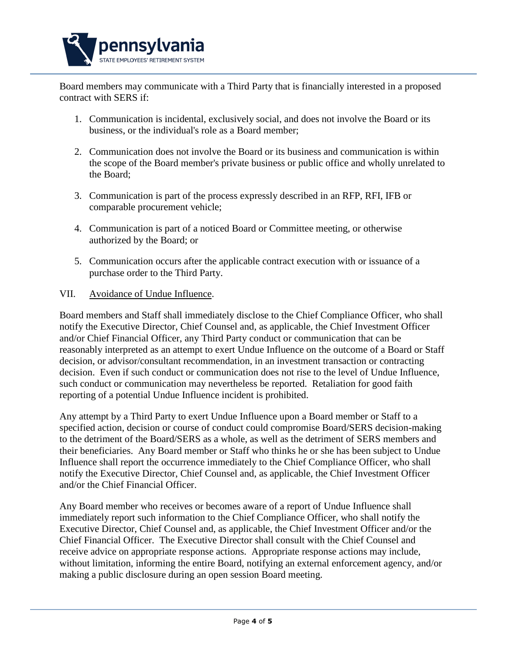

Board members may communicate with a Third Party that is financially interested in a proposed contract with SERS if:

- 1. Communication is incidental, exclusively social, and does not involve the Board or its business, or the individual's role as a Board member;
- 2. Communication does not involve the Board or its business and communication is within the scope of the Board member's private business or public office and wholly unrelated to the Board;
- 3. Communication is part of the process expressly described in an RFP, RFI, IFB or comparable procurement vehicle;
- 4. Communication is part of a noticed Board or Committee meeting, or otherwise authorized by the Board; or
- 5. Communication occurs after the applicable contract execution with or issuance of a purchase order to the Third Party.

### VII. Avoidance of Undue Influence.

Board members and Staff shall immediately disclose to the Chief Compliance Officer, who shall notify the Executive Director, Chief Counsel and, as applicable, the Chief Investment Officer and/or Chief Financial Officer, any Third Party conduct or communication that can be reasonably interpreted as an attempt to exert Undue Influence on the outcome of a Board or Staff decision, or advisor/consultant recommendation, in an investment transaction or contracting decision. Even if such conduct or communication does not rise to the level of Undue Influence, such conduct or communication may nevertheless be reported. Retaliation for good faith reporting of a potential Undue Influence incident is prohibited.

Any attempt by a Third Party to exert Undue Influence upon a Board member or Staff to a specified action, decision or course of conduct could compromise Board/SERS decision-making to the detriment of the Board/SERS as a whole, as well as the detriment of SERS members and their beneficiaries. Any Board member or Staff who thinks he or she has been subject to Undue Influence shall report the occurrence immediately to the Chief Compliance Officer, who shall notify the Executive Director, Chief Counsel and, as applicable, the Chief Investment Officer and/or the Chief Financial Officer.

Any Board member who receives or becomes aware of a report of Undue Influence shall immediately report such information to the Chief Compliance Officer, who shall notify the Executive Director, Chief Counsel and, as applicable, the Chief Investment Officer and/or the Chief Financial Officer. The Executive Director shall consult with the Chief Counsel and receive advice on appropriate response actions. Appropriate response actions may include, without limitation, informing the entire Board, notifying an external enforcement agency, and/or making a public disclosure during an open session Board meeting.